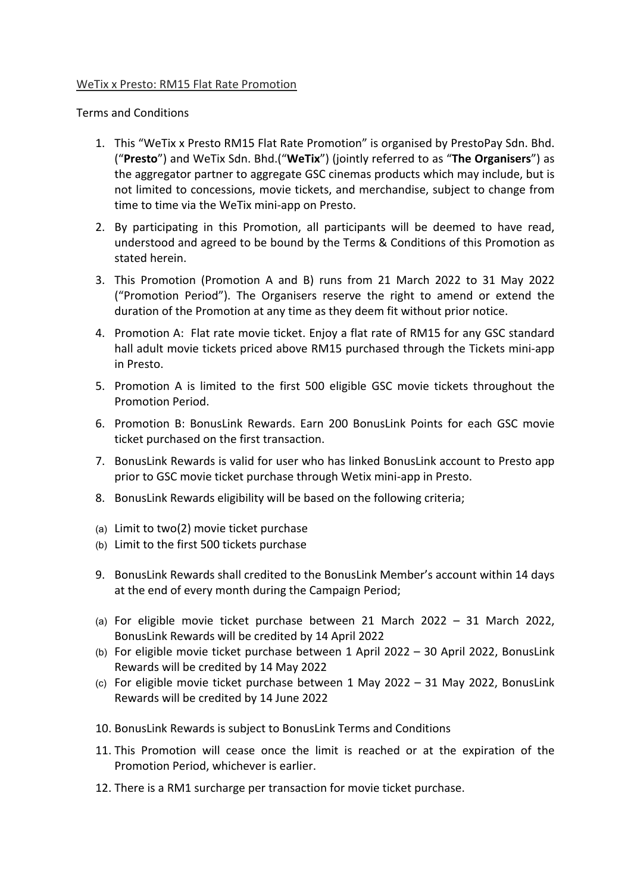## WeTix x Presto: RM15 Flat Rate Promotion

Terms and Conditions

- 1. This "WeTix x Presto RM15 Flat Rate Promotion" is organised by PrestoPay Sdn. Bhd. ("**Presto**") and WeTix Sdn. Bhd.("**WeTix**") (jointly referred to as "**The Organisers**") as the aggregator partner to aggregate GSC cinemas products which may include, but is not limited to concessions, movie tickets, and merchandise, subject to change from time to time via the WeTix mini-app on Presto.
- 2. By participating in this Promotion, all participants will be deemed to have read, understood and agreed to be bound by the Terms & Conditions of this Promotion as stated herein.
- 3. This Promotion (Promotion A and B) runs from 21 March 2022 to 31 May 2022 ("Promotion Period"). The Organisers reserve the right to amend or extend the duration of the Promotion at any time as they deem fit without prior notice.
- 4. Promotion A: Flat rate movie ticket. Enjoy a flat rate of RM15 for any GSC standard hall adult movie tickets priced above RM15 purchased through the Tickets mini-app in Presto.
- 5. Promotion A is limited to the first 500 eligible GSC movie tickets throughout the Promotion Period.
- 6. Promotion B: BonusLink Rewards. Earn 200 BonusLink Points for each GSC movie ticket purchased on the first transaction.
- 7. BonusLink Rewards is valid for user who has linked BonusLink account to Presto app prior to GSC movie ticket purchase through Wetix mini-app in Presto.
- 8. BonusLink Rewards eligibility will be based on the following criteria;
- (a) Limit to two(2) movie ticket purchase
- (b) Limit to the first 500 tickets purchase
- 9. BonusLink Rewards shall credited to the BonusLink Member's account within 14 days at the end of every month during the Campaign Period;
- (a) For eligible movie ticket purchase between 21 March 2022 31 March 2022, BonusLink Rewards will be credited by 14 April 2022
- (b) For eligible movie ticket purchase between 1 April 2022 30 April 2022, BonusLink Rewards will be credited by 14 May 2022
- (c) For eligible movie ticket purchase between 1 May 2022 31 May 2022, BonusLink Rewards will be credited by 14 June 2022
- 10. BonusLink Rewards is subject to BonusLink Terms and Conditions
- 11. This Promotion will cease once the limit is reached or at the expiration of the Promotion Period, whichever is earlier.
- 12. There is a RM1 surcharge per transaction for movie ticket purchase.